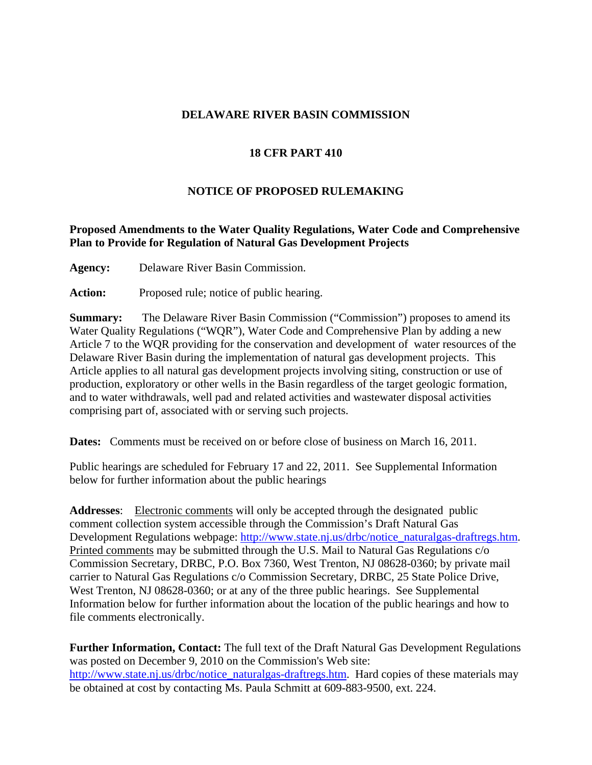## **DELAWARE RIVER BASIN COMMISSION**

# **18 CFR PART 410**

# **NOTICE OF PROPOSED RULEMAKING**

# **Proposed Amendments to the Water Quality Regulations, Water Code and Comprehensive Plan to Provide for Regulation of Natural Gas Development Projects**

**Agency:** Delaware River Basin Commission.

Action: Proposed rule; notice of public hearing.

**Summary:** The Delaware River Basin Commission ("Commission") proposes to amend its Water Quality Regulations ("WQR"), Water Code and Comprehensive Plan by adding a new Article 7 to the WQR providing for the conservation and development of water resources of the Delaware River Basin during the implementation of natural gas development projects. This Article applies to all natural gas development projects involving siting, construction or use of production, exploratory or other wells in the Basin regardless of the target geologic formation, and to water withdrawals, well pad and related activities and wastewater disposal activities comprising part of, associated with or serving such projects.

**Dates:** Comments must be received on or before close of business on March 16, 2011.

Public hearings are scheduled for February 17 and 22, 2011. See Supplemental Information below for further information about the public hearings

**Addresses**: Electronic comments will only be accepted through the designated public comment collection system accessible through the Commission's Draft Natural Gas Development Regulations webpage: http://www.state.nj.us/drbc/notice\_naturalgas-draftregs.htm. Printed comments may be submitted through the U.S. Mail to Natural Gas Regulations c/o Commission Secretary, DRBC, P.O. Box 7360, West Trenton, NJ 08628-0360; by private mail carrier to Natural Gas Regulations c/o Commission Secretary, DRBC, 25 State Police Drive, West Trenton, NJ 08628-0360; or at any of the three public hearings. See Supplemental Information below for further information about the location of the public hearings and how to file comments electronically.

**Further Information, Contact:** The full text of the Draft Natural Gas Development Regulations was posted on December 9, 2010 on the Commission's Web site: http://www.state.nj.us/drbc/notice\_naturalgas-draftregs.htm. Hard copies of these materials may be obtained at cost by contacting Ms. Paula Schmitt at 609-883-9500, ext. 224.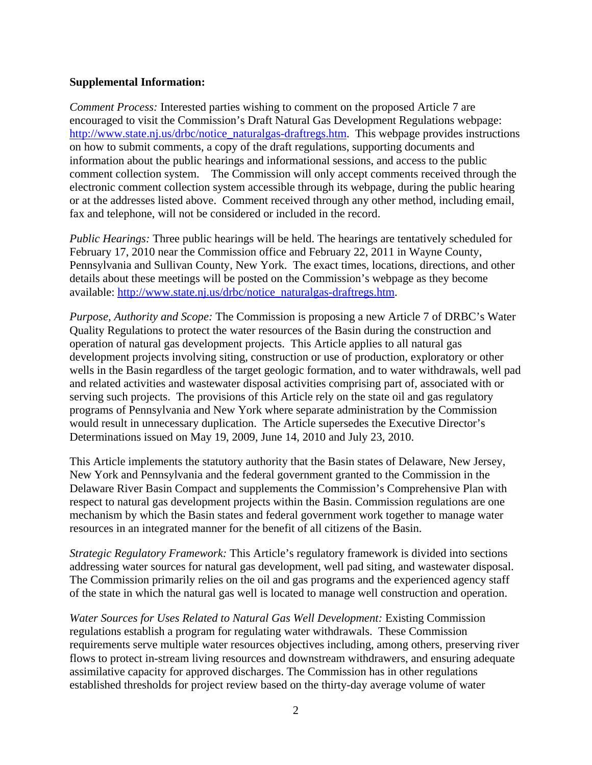## **Supplemental Information:**

*Comment Process:* Interested parties wishing to comment on the proposed Article 7 are encouraged to visit the Commission's Draft Natural Gas Development Regulations webpage: http://www.state.nj.us/drbc/notice\_naturalgas-draftregs.htm. This webpage provides instructions on how to submit comments, a copy of the draft regulations, supporting documents and information about the public hearings and informational sessions, and access to the public comment collection system. The Commission will only accept comments received through the electronic comment collection system accessible through its webpage, during the public hearing or at the addresses listed above. Comment received through any other method, including email, fax and telephone, will not be considered or included in the record.

*Public Hearings:* Three public hearings will be held. The hearings are tentatively scheduled for February 17, 2010 near the Commission office and February 22, 2011 in Wayne County, Pennsylvania and Sullivan County, New York. The exact times, locations, directions, and other details about these meetings will be posted on the Commission's webpage as they become available: http://www.state.nj.us/drbc/notice\_naturalgas-draftregs.htm.

*Purpose, Authority and Scope:* The Commission is proposing a new Article 7 of DRBC's Water Quality Regulations to protect the water resources of the Basin during the construction and operation of natural gas development projects. This Article applies to all natural gas development projects involving siting, construction or use of production, exploratory or other wells in the Basin regardless of the target geologic formation, and to water withdrawals, well pad and related activities and wastewater disposal activities comprising part of, associated with or serving such projects. The provisions of this Article rely on the state oil and gas regulatory programs of Pennsylvania and New York where separate administration by the Commission would result in unnecessary duplication. The Article supersedes the Executive Director's Determinations issued on May 19, 2009, June 14, 2010 and July 23, 2010.

This Article implements the statutory authority that the Basin states of Delaware, New Jersey, New York and Pennsylvania and the federal government granted to the Commission in the Delaware River Basin Compact and supplements the Commission's Comprehensive Plan with respect to natural gas development projects within the Basin. Commission regulations are one mechanism by which the Basin states and federal government work together to manage water resources in an integrated manner for the benefit of all citizens of the Basin.

*Strategic Regulatory Framework:* This Article's regulatory framework is divided into sections addressing water sources for natural gas development, well pad siting, and wastewater disposal. The Commission primarily relies on the oil and gas programs and the experienced agency staff of the state in which the natural gas well is located to manage well construction and operation.

*Water Sources for Uses Related to Natural Gas Well Development:* Existing Commission regulations establish a program for regulating water withdrawals. These Commission requirements serve multiple water resources objectives including, among others, preserving river flows to protect in-stream living resources and downstream withdrawers, and ensuring adequate assimilative capacity for approved discharges. The Commission has in other regulations established thresholds for project review based on the thirty-day average volume of water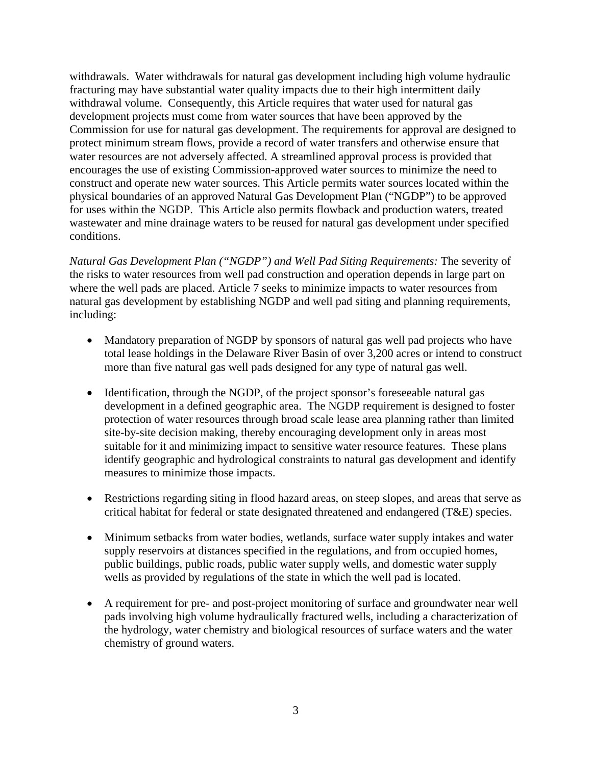withdrawals. Water withdrawals for natural gas development including high volume hydraulic fracturing may have substantial water quality impacts due to their high intermittent daily withdrawal volume. Consequently, this Article requires that water used for natural gas development projects must come from water sources that have been approved by the Commission for use for natural gas development. The requirements for approval are designed to protect minimum stream flows, provide a record of water transfers and otherwise ensure that water resources are not adversely affected. A streamlined approval process is provided that encourages the use of existing Commission-approved water sources to minimize the need to construct and operate new water sources. This Article permits water sources located within the physical boundaries of an approved Natural Gas Development Plan ("NGDP") to be approved for uses within the NGDP. This Article also permits flowback and production waters, treated wastewater and mine drainage waters to be reused for natural gas development under specified conditions.

*Natural Gas Development Plan ("NGDP") and Well Pad Siting Requirements:* The severity of the risks to water resources from well pad construction and operation depends in large part on where the well pads are placed. Article 7 seeks to minimize impacts to water resources from natural gas development by establishing NGDP and well pad siting and planning requirements, including:

- Mandatory preparation of NGDP by sponsors of natural gas well pad projects who have total lease holdings in the Delaware River Basin of over 3,200 acres or intend to construct more than five natural gas well pads designed for any type of natural gas well.
- Identification, through the NGDP, of the project sponsor's foreseeable natural gas development in a defined geographic area. The NGDP requirement is designed to foster protection of water resources through broad scale lease area planning rather than limited site-by-site decision making, thereby encouraging development only in areas most suitable for it and minimizing impact to sensitive water resource features. These plans identify geographic and hydrological constraints to natural gas development and identify measures to minimize those impacts.
- Restrictions regarding siting in flood hazard areas, on steep slopes, and areas that serve as critical habitat for federal or state designated threatened and endangered (T&E) species.
- Minimum setbacks from water bodies, wetlands, surface water supply intakes and water supply reservoirs at distances specified in the regulations, and from occupied homes, public buildings, public roads, public water supply wells, and domestic water supply wells as provided by regulations of the state in which the well pad is located.
- A requirement for pre- and post-project monitoring of surface and groundwater near well pads involving high volume hydraulically fractured wells, including a characterization of the hydrology, water chemistry and biological resources of surface waters and the water chemistry of ground waters.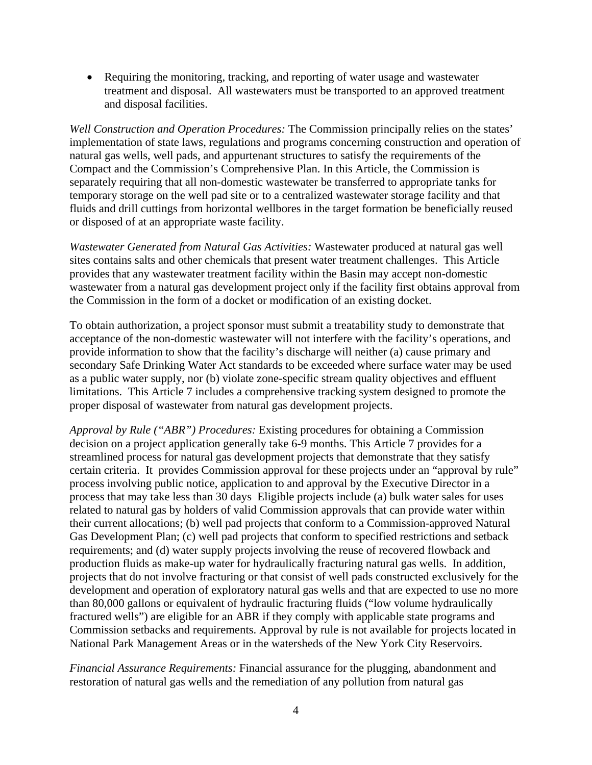• Requiring the monitoring, tracking, and reporting of water usage and wastewater treatment and disposal. All wastewaters must be transported to an approved treatment and disposal facilities.

*Well Construction and Operation Procedures:* The Commission principally relies on the states' implementation of state laws, regulations and programs concerning construction and operation of natural gas wells, well pads, and appurtenant structures to satisfy the requirements of the Compact and the Commission's Comprehensive Plan. In this Article, the Commission is separately requiring that all non-domestic wastewater be transferred to appropriate tanks for temporary storage on the well pad site or to a centralized wastewater storage facility and that fluids and drill cuttings from horizontal wellbores in the target formation be beneficially reused or disposed of at an appropriate waste facility.

*Wastewater Generated from Natural Gas Activities:* Wastewater produced at natural gas well sites contains salts and other chemicals that present water treatment challenges. This Article provides that any wastewater treatment facility within the Basin may accept non-domestic wastewater from a natural gas development project only if the facility first obtains approval from the Commission in the form of a docket or modification of an existing docket.

To obtain authorization, a project sponsor must submit a treatability study to demonstrate that acceptance of the non-domestic wastewater will not interfere with the facility's operations, and provide information to show that the facility's discharge will neither (a) cause primary and secondary Safe Drinking Water Act standards to be exceeded where surface water may be used as a public water supply, nor (b) violate zone-specific stream quality objectives and effluent limitations. This Article 7 includes a comprehensive tracking system designed to promote the proper disposal of wastewater from natural gas development projects.

*Approval by Rule ("ABR") Procedures:* Existing procedures for obtaining a Commission decision on a project application generally take 6-9 months. This Article 7 provides for a streamlined process for natural gas development projects that demonstrate that they satisfy certain criteria. It provides Commission approval for these projects under an "approval by rule" process involving public notice, application to and approval by the Executive Director in a process that may take less than 30 days Eligible projects include (a) bulk water sales for uses related to natural gas by holders of valid Commission approvals that can provide water within their current allocations; (b) well pad projects that conform to a Commission-approved Natural Gas Development Plan; (c) well pad projects that conform to specified restrictions and setback requirements; and (d) water supply projects involving the reuse of recovered flowback and production fluids as make-up water for hydraulically fracturing natural gas wells. In addition, projects that do not involve fracturing or that consist of well pads constructed exclusively for the development and operation of exploratory natural gas wells and that are expected to use no more than 80,000 gallons or equivalent of hydraulic fracturing fluids ("low volume hydraulically fractured wells") are eligible for an ABR if they comply with applicable state programs and Commission setbacks and requirements. Approval by rule is not available for projects located in National Park Management Areas or in the watersheds of the New York City Reservoirs.

*Financial Assurance Requirements:* Financial assurance for the plugging, abandonment and restoration of natural gas wells and the remediation of any pollution from natural gas